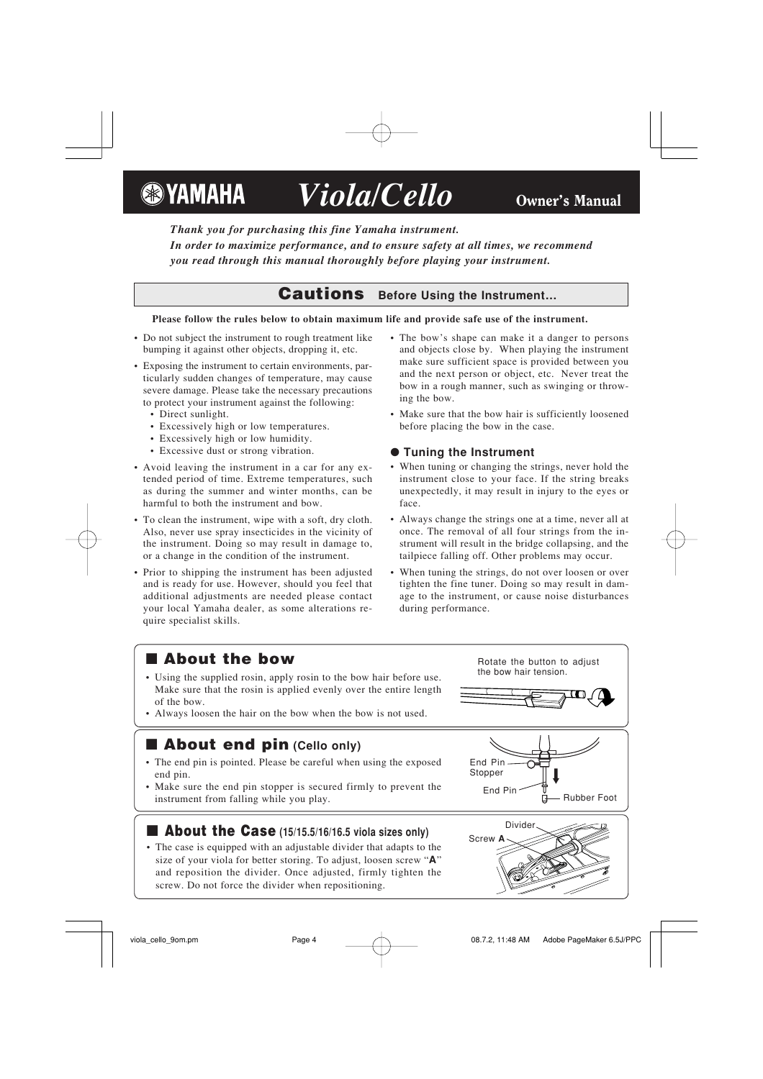**&**YAMAHA

# *Viola/Cello* Owner's Manual

*Thank you for purchasing this fine Yamaha instrument. In order to maximize performance, and to ensure safety at all times, we recommend you read through this manual thoroughly before playing your instrument.*

## **Cautions Before Using the Instrument…**

#### **Please follow the rules below to obtain maximum life and provide safe use of the instrument.**

- Do not subject the instrument to rough treatment like bumping it against other objects, dropping it, etc.
- Exposing the instrument to certain environments, particularly sudden changes of temperature, may cause severe damage. Please take the necessary precautions to protect your instrument against the following:
	- Direct sunlight.
	- Excessively high or low temperatures.
	- Excessively high or low humidity.
	- Excessive dust or strong vibration.
- Avoid leaving the instrument in a car for any extended period of time. Extreme temperatures, such as during the summer and winter months, can be harmful to both the instrument and bow.
- To clean the instrument, wipe with a soft, dry cloth. Also, never use spray insecticides in the vicinity of the instrument. Doing so may result in damage to, or a change in the condition of the instrument.
- Prior to shipping the instrument has been adjusted and is ready for use. However, should you feel that additional adjustments are needed please contact your local Yamaha dealer, as some alterations require specialist skills.
- The bow's shape can make it a danger to persons and objects close by. When playing the instrument make sure sufficient space is provided between you and the next person or object, etc. Never treat the bow in a rough manner, such as swinging or throwing the bow.
- Make sure that the bow hair is sufficiently loosened before placing the bow in the case.

#### ● **Tuning the Instrument**

- When tuning or changing the strings, never hold the instrument close to your face. If the string breaks unexpectedly, it may result in injury to the eyes or face.
- Always change the strings one at a time, never all at once. The removal of all four strings from the instrument will result in the bridge collapsing, and the tailpiece falling off. Other problems may occur.
- When tuning the strings, do not over loosen or over tighten the fine tuner. Doing so may result in damage to the instrument, or cause noise disturbances during performance.

# ■ **About the bow**

- Using the supplied rosin, apply rosin to the bow hair before use. Make sure that the rosin is applied evenly over the entire length of the bow.
- Always loosen the hair on the bow when the bow is not used.

# ■ **About end pin (Cello only)**

- The end pin is pointed. Please be careful when using the exposed end pin.
- Make sure the end pin stopper is secured firmly to prevent the instrument from falling while you play.

### ■ **About the Case (15/15.5/16/16.5 viola sizes only)**

• The case is equipped with an adjustable divider that adapts to the size of your viola for better storing. To adjust, loosen screw "**A**" and reposition the divider. Once adjusted, firmly tighten the screw. Do not force the divider when repositioning.

Rotate the button to adjust the bow hair tension.